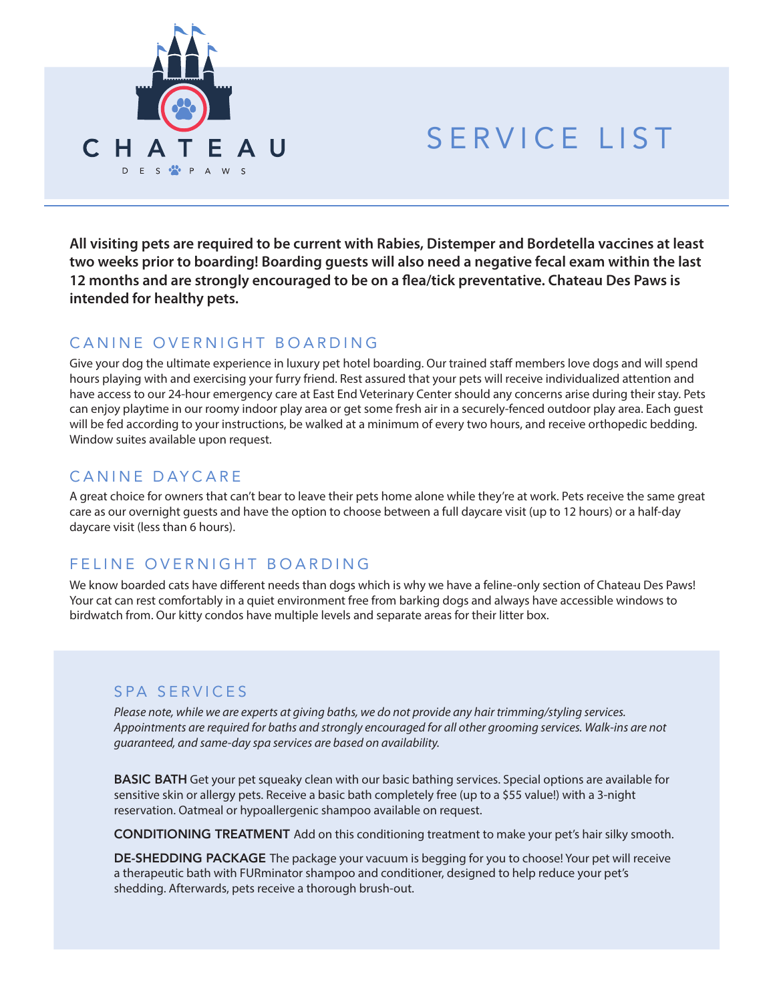

# SERVICE LIST

**All visiting pets are required to be current with Rabies, Distemper and Bordetella vaccines at least two weeks prior to boarding! Boarding guests will also need a negative fecal exam within the last**  12 months and are strongly encouraged to be on a flea/tick preventative. Chateau Des Paws is **intended for healthy pets.**

## CANINE OVERNIGHT BOARDING

Give your dog the ultimate experience in luxury pet hotel boarding. Our trained staff members love dogs and will spend hours playing with and exercising your furry friend. Rest assured that your pets will receive individualized attention and have access to our 24-hour emergency care at East End Veterinary Center should any concerns arise during their stay. Pets can enjoy playtime in our roomy indoor play area or get some fresh air in a securely-fenced outdoor play area. Each guest will be fed according to your instructions, be walked at a minimum of every two hours, and receive orthopedic bedding. Window suites available upon request.

## CANINE DAYCARE

A great choice for owners that can't bear to leave their pets home alone while they're at work. Pets receive the same great care as our overnight guests and have the option to choose between a full daycare visit (up to 12 hours) or a half-day daycare visit (less than 6 hours).

#### FELINE OVERNIGHT BOARDING

We know boarded cats have different needs than dogs which is why we have a feline-only section of Chateau Des Paws! Your cat can rest comfortably in a quiet environment free from barking dogs and always have accessible windows to birdwatch from. Our kitty condos have multiple levels and separate areas for their litter box.

#### SPA SERVICES

*Please note, while we are experts at giving baths, we do not provide any hair trimming/styling services. Appointments are required for baths and strongly encouraged for all other grooming services. Walk-ins are not guaranteed, and same-day spa services are based on availability.*

BASIC BATH Get your pet squeaky clean with our basic bathing services. Special options are available for sensitive skin or allergy pets. Receive a basic bath completely free (up to a \$55 value!) with a 3-night reservation. Oatmeal or hypoallergenic shampoo available on request.

CONDITIONING TREATMENT Add on this conditioning treatment to make your pet's hair silky smooth.

DE-SHEDDING PACKAGE The package your vacuum is begging for you to choose! Your pet will receive a therapeutic bath with FURminator shampoo and conditioner, designed to help reduce your pet's shedding. Afterwards, pets receive a thorough brush-out.